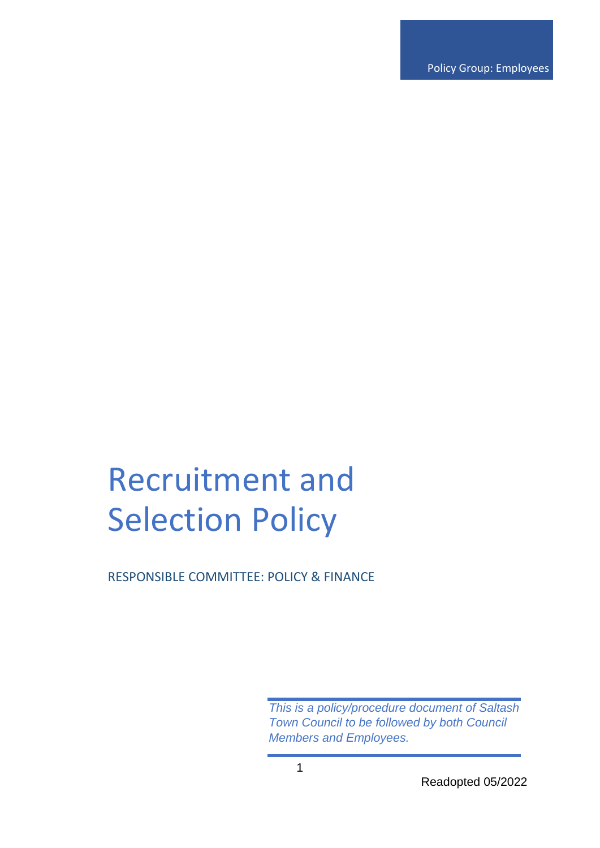Policy Group: Employees

# Recruitment and Selection Policy

RESPONSIBLE COMMITTEE: POLICY & FINANCE

*This is a policy/procedure document of Saltash Town Council to be followed by both Council Members and Employees.*

Readopted 05/2022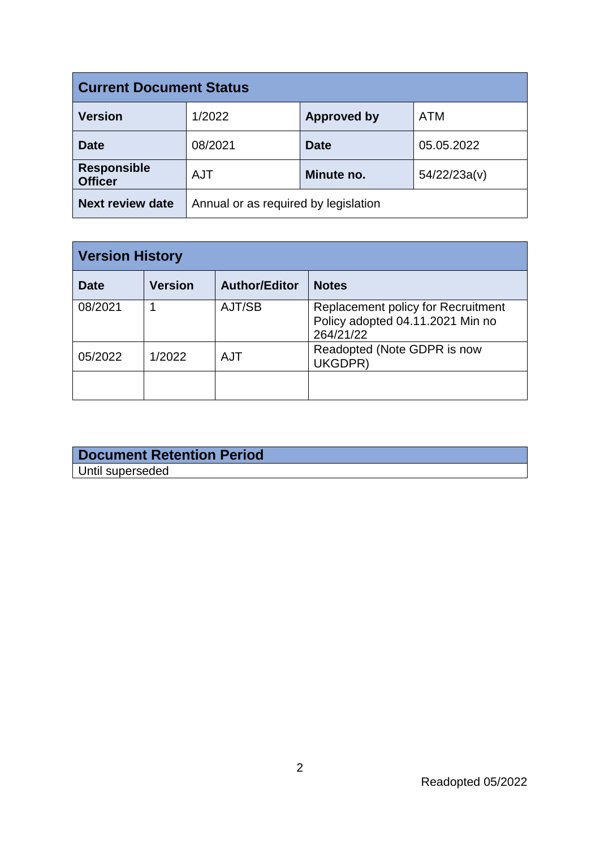| <b>Current Document Status</b>       |                                      |                    |              |  |  |
|--------------------------------------|--------------------------------------|--------------------|--------------|--|--|
| <b>Version</b>                       | 1/2022                               | <b>Approved by</b> | <b>ATM</b>   |  |  |
| <b>Date</b>                          | 08/2021                              | <b>Date</b>        | 05.05.2022   |  |  |
| <b>Responsible</b><br><b>Officer</b> | <b>AJT</b>                           | Minute no.         | 54/22/23a(v) |  |  |
| <b>Next review date</b>              | Annual or as required by legislation |                    |              |  |  |

| <b>Version History</b> |                |                      |                                                                                            |  |
|------------------------|----------------|----------------------|--------------------------------------------------------------------------------------------|--|
| <b>Date</b>            | <b>Version</b> | <b>Author/Editor</b> | <b>Notes</b>                                                                               |  |
| 08/2021                |                | AJT/SB               | <b>Replacement policy for Recruitment</b><br>Policy adopted 04.11.2021 Min no<br>264/21/22 |  |
| 05/2022                | 1/2022         | AJT                  | Readopted (Note GDPR is now<br>UKGDPR)                                                     |  |
|                        |                |                      |                                                                                            |  |

| Document Retention Period |  |
|---------------------------|--|
| Until superseded          |  |
|                           |  |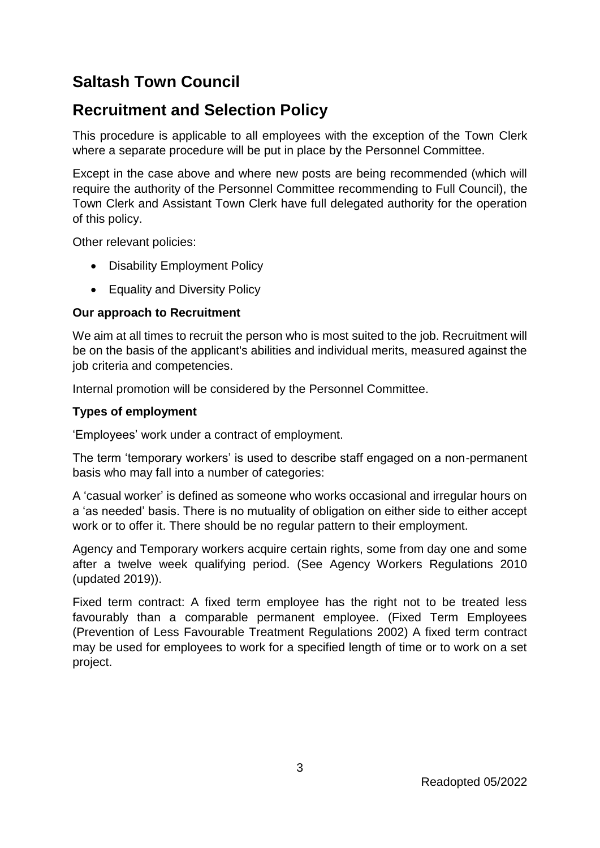# **Saltash Town Council**

# **Recruitment and Selection Policy**

This procedure is applicable to all employees with the exception of the Town Clerk where a separate procedure will be put in place by the Personnel Committee.

Except in the case above and where new posts are being recommended (which will require the authority of the Personnel Committee recommending to Full Council), the Town Clerk and Assistant Town Clerk have full delegated authority for the operation of this policy.

Other relevant policies:

- Disability Employment Policy
- Equality and Diversity Policy

# **Our approach to Recruitment**

We aim at all times to recruit the person who is most suited to the job. Recruitment will be on the basis of the applicant's abilities and individual merits, measured against the job criteria and competencies.

Internal promotion will be considered by the Personnel Committee.

## **Types of employment**

'Employees' work under a contract of employment.

The term 'temporary workers' is used to describe staff engaged on a non-permanent basis who may fall into a number of categories:

A 'casual worker' is defined as someone who works occasional and irregular hours on a 'as needed' basis. There is no mutuality of obligation on either side to either accept work or to offer it. There should be no regular pattern to their employment.

Agency and Temporary workers acquire certain rights, some from day one and some after a twelve week qualifying period. (See Agency Workers Regulations 2010 (updated 2019)).

Fixed term contract: A fixed term employee has the right not to be treated less favourably than a comparable permanent employee. (Fixed Term Employees (Prevention of Less Favourable Treatment Regulations 2002) A fixed term contract may be used for employees to work for a specified length of time or to work on a set project.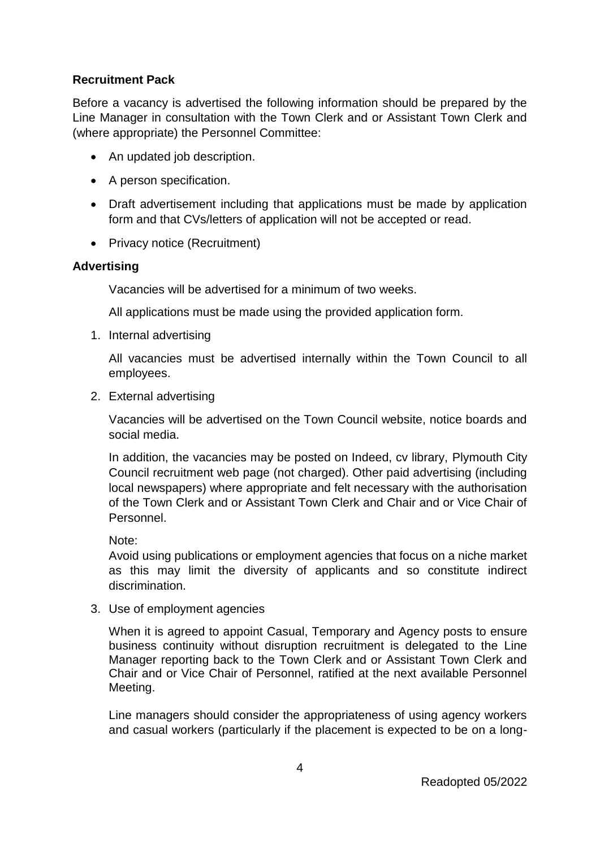## **Recruitment Pack**

Before a vacancy is advertised the following information should be prepared by the Line Manager in consultation with the Town Clerk and or Assistant Town Clerk and (where appropriate) the Personnel Committee:

- An updated job description.
- A person specification.
- Draft advertisement including that applications must be made by application form and that CVs/letters of application will not be accepted or read.
- Privacy notice (Recruitment)

#### **Advertising**

Vacancies will be advertised for a minimum of two weeks.

All applications must be made using the provided application form.

1. Internal advertising

All vacancies must be advertised internally within the Town Council to all employees.

2. External advertising

Vacancies will be advertised on the Town Council website, notice boards and social media.

In addition, the vacancies may be posted on Indeed, cv library, Plymouth City Council recruitment web page (not charged). Other paid advertising (including local newspapers) where appropriate and felt necessary with the authorisation of the Town Clerk and or Assistant Town Clerk and Chair and or Vice Chair of Personnel.

Note:

Avoid using publications or employment agencies that focus on a niche market as this may limit the diversity of applicants and so constitute indirect discrimination.

3. Use of employment agencies

When it is agreed to appoint Casual, Temporary and Agency posts to ensure business continuity without disruption recruitment is delegated to the Line Manager reporting back to the Town Clerk and or Assistant Town Clerk and Chair and or Vice Chair of Personnel, ratified at the next available Personnel Meeting.

Line managers should consider the appropriateness of using agency workers and casual workers (particularly if the placement is expected to be on a long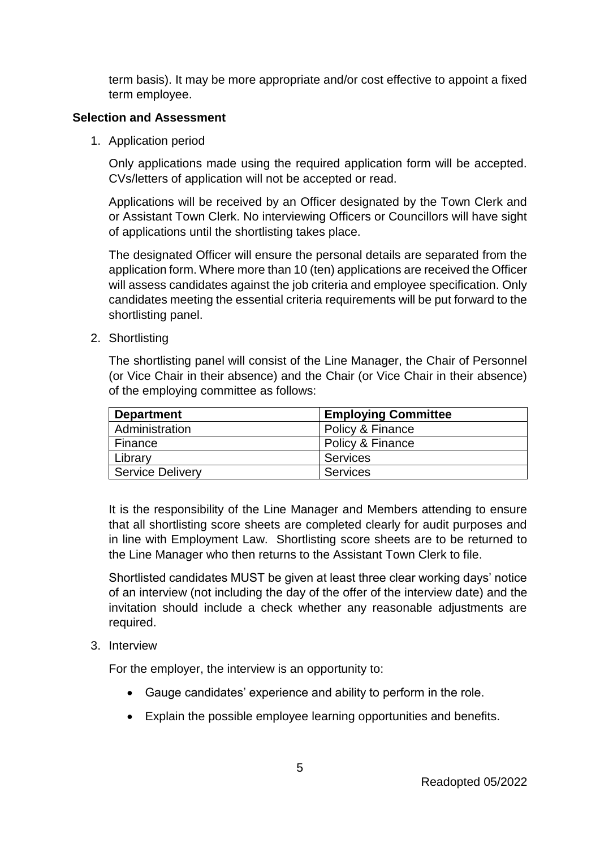term basis). It may be more appropriate and/or cost effective to appoint a fixed term employee.

### **Selection and Assessment**

1. Application period

Only applications made using the required application form will be accepted. CVs/letters of application will not be accepted or read.

Applications will be received by an Officer designated by the Town Clerk and or Assistant Town Clerk. No interviewing Officers or Councillors will have sight of applications until the shortlisting takes place.

The designated Officer will ensure the personal details are separated from the application form. Where more than 10 (ten) applications are received the Officer will assess candidates against the job criteria and employee specification. Only candidates meeting the essential criteria requirements will be put forward to the shortlisting panel.

2. Shortlisting

The shortlisting panel will consist of the Line Manager, the Chair of Personnel (or Vice Chair in their absence) and the Chair (or Vice Chair in their absence) of the employing committee as follows:

| <b>Department</b> | <b>Employing Committee</b> |
|-------------------|----------------------------|
| Administration    | Policy & Finance           |
| Finance           | Policy & Finance           |
| Library           | <b>Services</b>            |
| Service Delivery  | <b>Services</b>            |

It is the responsibility of the Line Manager and Members attending to ensure that all shortlisting score sheets are completed clearly for audit purposes and in line with Employment Law. Shortlisting score sheets are to be returned to the Line Manager who then returns to the Assistant Town Clerk to file.

Shortlisted candidates MUST be given at least three clear working days' notice of an interview (not including the day of the offer of the interview date) and the invitation should include a check whether any reasonable adjustments are required.

3. Interview

For the employer, the interview is an opportunity to:

- Gauge candidates' experience and ability to perform in the role.
- Explain the possible employee learning opportunities and benefits.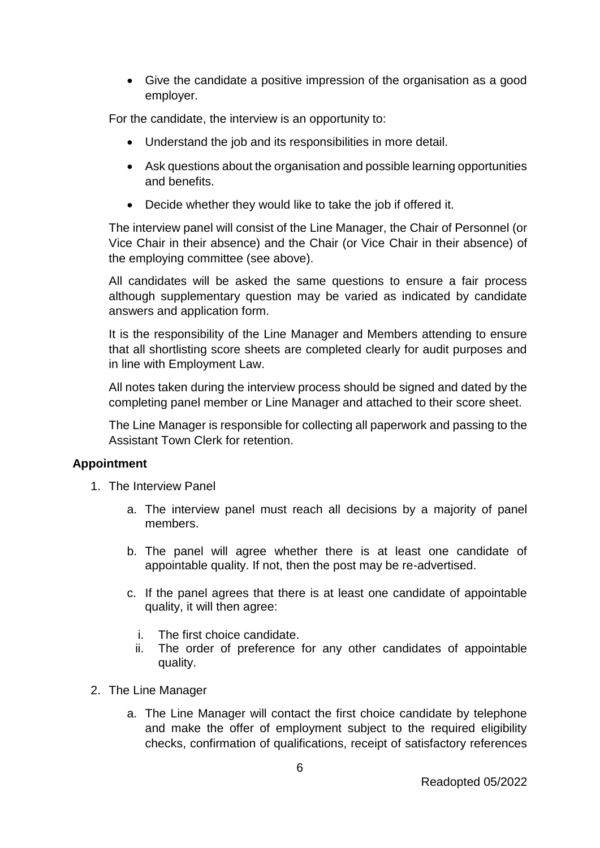• Give the candidate a positive impression of the organisation as a good employer.

For the candidate, the interview is an opportunity to:

- Understand the job and its responsibilities in more detail.
- Ask questions about the organisation and possible learning opportunities and benefits.
- Decide whether they would like to take the job if offered it.

The interview panel will consist of the Line Manager, the Chair of Personnel (or Vice Chair in their absence) and the Chair (or Vice Chair in their absence) of the employing committee (see above).

All candidates will be asked the same questions to ensure a fair process although supplementary question may be varied as indicated by candidate answers and application form.

It is the responsibility of the Line Manager and Members attending to ensure that all shortlisting score sheets are completed clearly for audit purposes and in line with Employment Law.

All notes taken during the interview process should be signed and dated by the completing panel member or Line Manager and attached to their score sheet.

The Line Manager is responsible for collecting all paperwork and passing to the Assistant Town Clerk for retention.

#### **Appointment**

- 1. The Interview Panel
	- a. The interview panel must reach all decisions by a majority of panel members.
	- b. The panel will agree whether there is at least one candidate of appointable quality. If not, then the post may be re-advertised.
	- c. If the panel agrees that there is at least one candidate of appointable quality, it will then agree:
		- i. The first choice candidate.
		- ii. The order of preference for any other candidates of appointable quality.
- 2. The Line Manager
	- a. The Line Manager will contact the first choice candidate by telephone and make the offer of employment subject to the required eligibility checks, confirmation of qualifications, receipt of satisfactory references